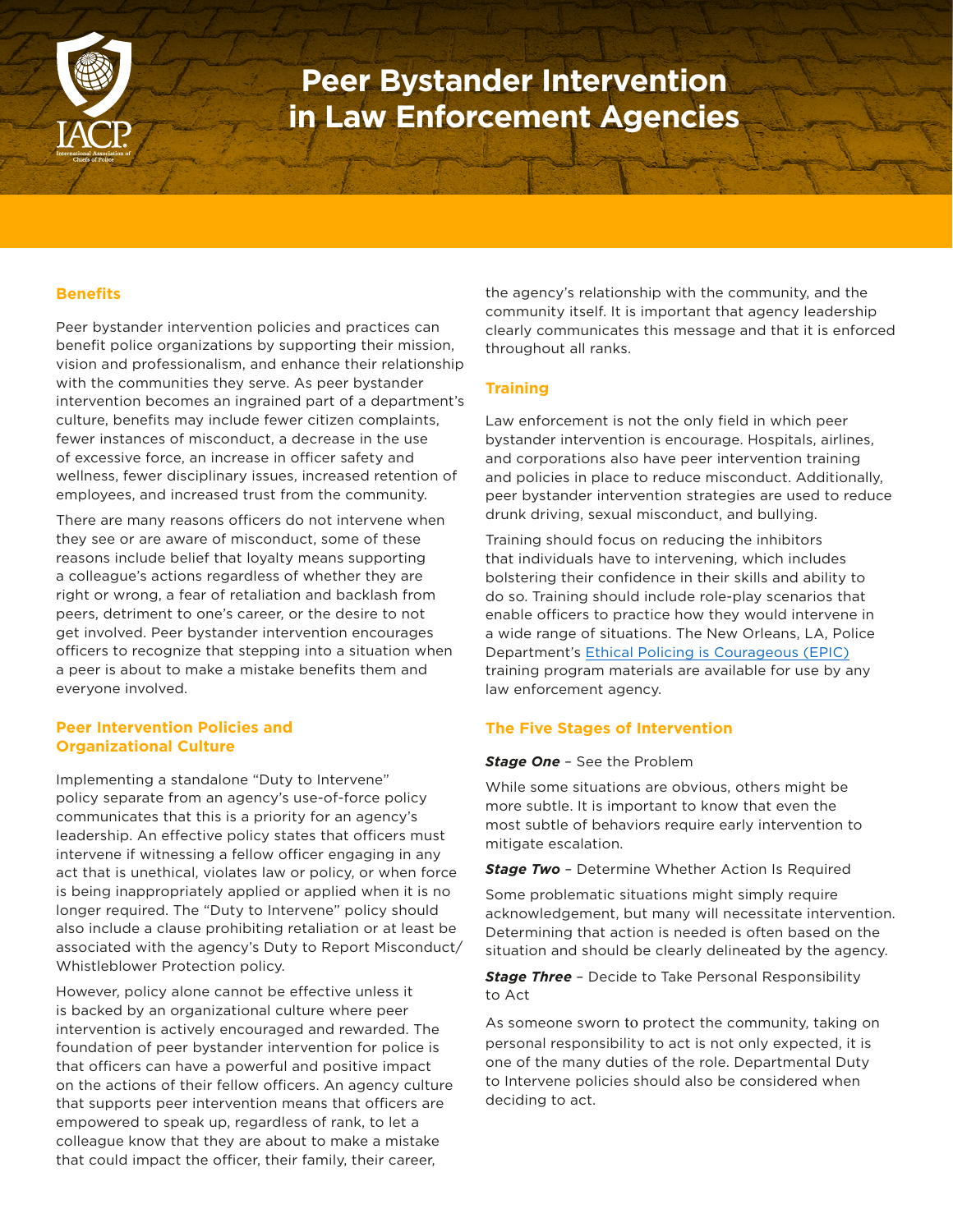

# **Peer Bystander Intervention in Law Enforcement Agencies**

### **Benefits**

Peer bystander intervention policies and practices can benefit police organizations by supporting their mission, vision and professionalism, and enhance their relationship with the communities they serve. As peer bystander intervention becomes an ingrained part of a department's culture, benefits may include fewer citizen complaints, fewer instances of misconduct, a decrease in the use of excessive force, an increase in officer safety and wellness, fewer disciplinary issues, increased retention of employees, and increased trust from the community.

There are many reasons officers do not intervene when they see or are aware of misconduct, some of these reasons include belief that loyalty means supporting a colleague's actions regardless of whether they are right or wrong, a fear of retaliation and backlash from peers, detriment to one's career, or the desire to not get involved. Peer bystander intervention encourages officers to recognize that stepping into a situation when a peer is about to make a mistake benefits them and everyone involved.

### **Peer Intervention Policies and Organizational Culture**

Implementing a standalone "Duty to Intervene" policy separate from an agency's use-of-force policy communicates that this is a priority for an agency's leadership. An effective policy states that officers must intervene if witnessing a fellow officer engaging in any act that is unethical, violates law or policy, or when force is being inappropriately applied or applied when it is no longer required. The "Duty to Intervene" policy should also include a clause prohibiting retaliation or at least be associated with the agency's Duty to Report Misconduct/ Whistleblower Protection policy.

However, policy alone cannot be effective unless it is backed by an organizational culture where peer intervention is actively encouraged and rewarded. The foundation of peer bystander intervention for police is that officers can have a powerful and positive impact on the actions of their fellow officers. An agency culture that supports peer intervention means that officers are empowered to speak up, regardless of rank, to let a colleague know that they are about to make a mistake that could impact the officer, their family, their career,

the agency's relationship with the community, and the community itself. It is important that agency leadership clearly communicates this message and that it is enforced throughout all ranks.

### **Training**

Law enforcement is not the only field in which peer bystander intervention is encourage. Hospitals, airlines, and corporations also have peer intervention training and policies in place to reduce misconduct. Additionally, peer bystander intervention strategies are used to reduce drunk driving, sexual misconduct, and bullying.

Training should focus on reducing the inhibitors that individuals have to intervening, which includes bolstering their confidence in their skills and ability to do so. Training should include role-play scenarios that enable officers to practice how they would intervene in a wide range of situations. The New Orleans, LA, Police Department's [Ethical Policing is Courageous \(EPIC\)](https://epic.nola.gov/home/) training program materials are available for use by any law enforcement agency.

## **The Five Stages of Intervention**

### *Stage One* – See the Problem

While some situations are obvious, others might be more subtle. It is important to know that even the most subtle of behaviors require early intervention to mitigate escalation.

*Stage Two* – Determine Whether Action Is Required

Some problematic situations might simply require acknowledgement, but many will necessitate intervention. Determining that action is needed is often based on the situation and should be clearly delineated by the agency.

*Stage Three* – Decide to Take Personal Responsibility to Act

As someone sworn to protect the community, taking on personal responsibility to act is not only expected, it is one of the many duties of the role. Departmental Duty to Intervene policies should also be considered when deciding to act.